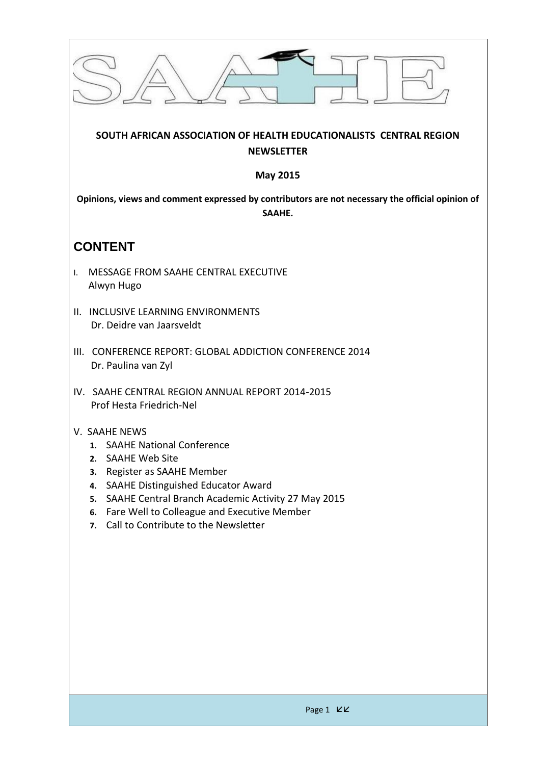| SOUTH AFRICAN ASSOCIATION OF HEALTH EDUCATIONALISTS CENTRAL REGION<br><b>NEWSLETTER</b>                                                                                                                                                                                                                                   |
|---------------------------------------------------------------------------------------------------------------------------------------------------------------------------------------------------------------------------------------------------------------------------------------------------------------------------|
| <b>May 2015</b>                                                                                                                                                                                                                                                                                                           |
| Opinions, views and comment expressed by contributors are not necessary the official opinion of<br>SAAHE.                                                                                                                                                                                                                 |
| <b>CONTENT</b>                                                                                                                                                                                                                                                                                                            |
| MESSAGE FROM SAAHE CENTRAL EXECUTIVE<br>I.<br>Alwyn Hugo                                                                                                                                                                                                                                                                  |
| <b>INCLUSIVE LEARNING ENVIRONMENTS</b><br>Ш.<br>Dr. Deidre van Jaarsveldt                                                                                                                                                                                                                                                 |
| <b>CONFERENCE REPORT: GLOBAL ADDICTION CONFERENCE 2014</b><br>III.<br>Dr. Paulina van Zyl                                                                                                                                                                                                                                 |
| IV. SAAHE CENTRAL REGION ANNUAL REPORT 2014-2015<br>Prof Hesta Friedrich-Nel                                                                                                                                                                                                                                              |
| V. SAAHE NEWS<br>1. SAAHE National Conference<br><b>SAAHE Web Site</b><br>2.<br>Register as SAAHE Member<br>3.<br>SAAHE Distinguished Educator Award<br>4.<br>SAAHE Central Branch Academic Activity 27 May 2015<br>5.<br>Fare Well to Colleague and Executive Member<br>6.<br>Call to Contribute to the Newsletter<br>7. |
|                                                                                                                                                                                                                                                                                                                           |
| Page 1 KK                                                                                                                                                                                                                                                                                                                 |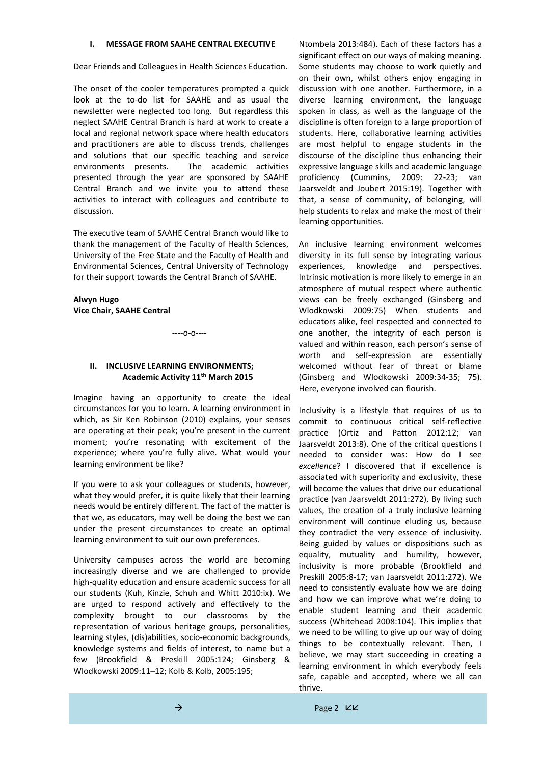### **I. MESSAGE FROM SAAHE CENTRAL EXECUTIVE**

Dear Friends and Colleagues in Health Sciences Education.

The onset of the cooler temperatures prompted a quick look at the to-do list for SAAHE and as usual the newsletter were neglected too long. But regardless this neglect SAAHE Central Branch is hard at work to create a local and regional network space where health educators and practitioners are able to discuss trends, challenges and solutions that our specific teaching and service environments presents. The academic activities presented through the year are sponsored by SAAHE Central Branch and we invite you to attend these activities to interact with colleagues and contribute to discussion.

The executive team of SAAHE Central Branch would like to thank the management of the Faculty of Health Sciences, University of the Free State and the Faculty of Health and Environmental Sciences, Central University of Technology for their support towards the Central Branch of SAAHE.

### **Alwyn Hugo Vice Chair, SAAHE Central**

 $---O$ -0----

### **II. INCLUSIVE LEARNING ENVIRONMENTS; Academic Activity 11th March 2015**

Imagine having an opportunity to create the ideal circumstances for you to learn. A learning environment in which, as Sir Ken Robinson (2010) explains, your senses are operating at their peak; you're present in the current moment; you're resonating with excitement of the experience; where you're fully alive. What would your learning environment be like?

If you were to ask your colleagues or students, however, what they would prefer, it is quite likely that their learning needs would be entirely different. The fact of the matter is that we, as educators, may well be doing the best we can under the present circumstances to create an optimal learning environment to suit our own preferences.

University campuses across the world are becoming increasingly diverse and we are challenged to provide high-quality education and ensure academic success for all our students (Kuh, Kinzie, Schuh and Whitt 2010:ix). We are urged to respond actively and effectively to the complexity brought to our classrooms by the representation of various heritage groups, personalities, learning styles, (dis)abilities, socio-economic backgrounds, knowledge systems and fields of interest, to name but a few (Brookfield & Preskill 2005:124; Ginsberg & Wlodkowski 2009:11–12; Kolb & Kolb, 2005:195;

Ntombela 2013:484). Each of these factors has a significant effect on our ways of making meaning. Some students may choose to work quietly and on their own, whilst others enjoy engaging in discussion with one another. Furthermore, in a diverse learning environment, the language spoken in class, as well as the language of the discipline is often foreign to a large proportion of students. Here, collaborative learning activities are most helpful to engage students in the discourse of the discipline thus enhancing their expressive language skills and academic language proficiency (Cummins, 2009: 22-23; van Jaarsveldt and Joubert 2015:19). Together with that, a sense of community, of belonging, will help students to relax and make the most of their learning opportunities.

An inclusive learning environment welcomes diversity in its full sense by integrating various experiences, knowledge and perspectives. Intrinsic motivation is more likely to emerge in an atmosphere of mutual respect where authentic views can be freely exchanged (Ginsberg and Wlodkowski 2009:75) When students and educators alike, feel respected and connected to one another, the integrity of each person is valued and within reason, each person's sense of worth and self-expression are essentially welcomed without fear of threat or blame (Ginsberg and Wlodkowski 2009:34-35; 75). Here, everyone involved can flourish.

Inclusivity is a lifestyle that requires of us to commit to continuous critical self-reflective practice (Ortiz and Patton 2012:12; van Jaarsveldt 2013:8). One of the critical questions I needed to consider was: How do I see *excellence*? I discovered that if excellence is associated with superiority and exclusivity, these will become the values that drive our educational practice (van Jaarsveldt 2011:272). By living such values, the creation of a truly inclusive learning environment will continue eluding us, because they contradict the very essence of inclusivity. Being guided by values or dispositions such as equality, mutuality and humility, however, inclusivity is more probable (Brookfield and Preskill 2005:8-17; van Jaarsveldt 2011:272). We need to consistently evaluate how we are doing and how we can improve what we're doing to enable student learning and their academic success (Whitehead 2008:104). This implies that we need to be willing to give up our way of doing things to be contextually relevant. Then, I believe, we may start succeeding in creating a learning environment in which everybody feels safe, capable and accepted, where we all can thrive.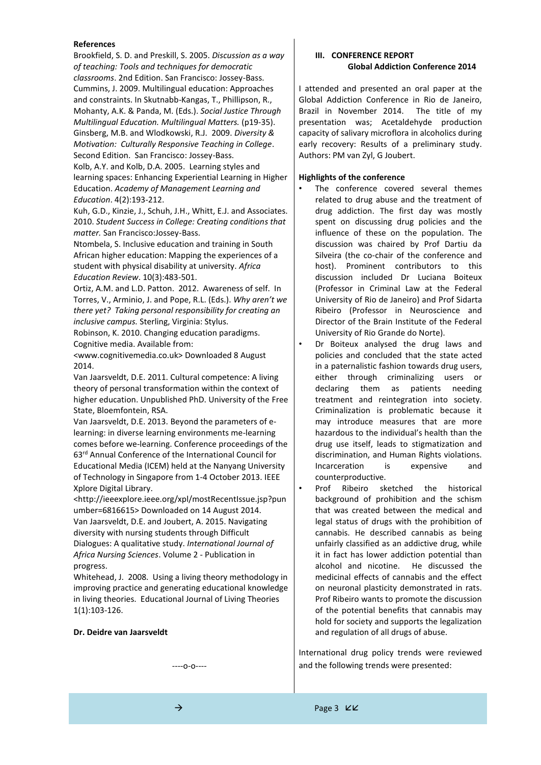#### **References**

Brookfield, S. D. and Preskill, S. 2005. *Discussion as a way of teaching: Tools and techniques for democratic classrooms*. 2nd Edition. San Francisco: Jossey-Bass. Cummins, J. 2009. Multilingual education: Approaches and constraints. In Skutnabb-Kangas, T., Phillipson, R., Mohanty, A.K. & Panda, M. (Eds.). *Social Justice Through Multilingual Education. Multilingual Matters.* (p19-35). Ginsberg, M.B. and Wlodkowski, R.J. 2009. *Diversity & Motivation: Culturally Responsive Teaching in College*. Second Edition. San Francisco: Jossey-Bass. Kolb, A.Y. and Kolb, D.A. 2005. Learning styles and learning spaces: Enhancing Experiential Learning in Higher Education. *Academy of Management Learning and* 

*Education*. 4(2):193-212. Kuh, G.D., Kinzie, J., Schuh, J.H., Whitt, E.J. and Associates.

2010. *Student Success in College: Creating conditions that matter.* San Francisco:Jossey-Bass.

Ntombela, S. Inclusive education and training in South African higher education: Mapping the experiences of a student with physical disability at university. *Africa Education Review*. 10(3):483-501.

Ortiz, A.M. and L.D. Patton. 2012. Awareness of self. In Torres, V., Arminio, J. and Pope, R.L. (Eds.). *Why aren't we there yet? Taking personal responsibility for creating an inclusive campus.* Sterling, Virginia: Stylus.

Robinson, K. 2010. Changing education paradigms. Cognitive media. Available from:

<www.cognitivemedia.co.uk> Downloaded 8 August 2014.

Van Jaarsveldt, D.E. 2011. Cultural competence: A living theory of personal transformation within the context of higher education. Unpublished PhD. University of the Free State, Bloemfontein, RSA.

Van Jaarsveldt, D.E. 2013. Beyond the parameters of elearning: in diverse learning environments me-learning comes before we-learning. Conference proceedings of the 63rd Annual Conference of the International Council for Educational Media (ICEM) held at the Nanyang University of Technology in Singapore from 1-4 October 2013. IEEE Xplore Digital Library.

<http://ieeexplore.ieee.org/xpl/mostRecentIssue.jsp?pun umber=6816615> Downloaded on 14 August 2014. Van Jaarsveldt, D.E. and Joubert, A. 2015. Navigating diversity with nursing students through Difficult Dialogues: A qualitative study. *International Journal of Africa Nursing Sciences*. Volume 2 - Publication in progress.

Whitehead, J. 2008. Using a living theory methodology in improving practice and generating educational knowledge in living theories. Educational Journal of Living Theories 1(1):103-126.

#### **Dr. Deidre van Jaarsveldt**

----o-o----

### **III. CONFERENCE REPORT Global Addiction Conference 2014**

I attended and presented an oral paper at the Global Addiction Conference in Rio de Janeiro, Brazil in November 2014. The title of my presentation was; Acetaldehyde production capacity of salivary microflora in alcoholics during early recovery: Results of a preliminary study. Authors: PM van Zyl, G Joubert.

#### **Highlights of the conference**

- The conference covered several themes related to drug abuse and the treatment of drug addiction. The first day was mostly spent on discussing drug policies and the influence of these on the population. The discussion was chaired by Prof Dartiu da Silveira (the co-chair of the conference and host). Prominent contributors to this discussion included Dr Luciana Boiteux (Professor in Criminal Law at the Federal University of Rio de Janeiro) and Prof Sidarta Ribeiro (Professor in Neuroscience and Director of the Brain Institute of the Federal University of Rio Grande do Norte).
- Dr Boiteux analysed the drug laws and policies and concluded that the state acted in a paternalistic fashion towards drug users, either through criminalizing users or declaring them as patients needing treatment and reintegration into society. Criminalization is problematic because it may introduce measures that are more hazardous to the individual's health than the drug use itself, leads to stigmatization and discrimination, and Human Rights violations. Incarceration is expensive and counterproductive.
- Prof Ribeiro sketched the historical background of prohibition and the schism that was created between the medical and legal status of drugs with the prohibition of cannabis. He described cannabis as being unfairly classified as an addictive drug, while it in fact has lower addiction potential than alcohol and nicotine. He discussed the medicinal effects of cannabis and the effect on neuronal plasticity demonstrated in rats. Prof Ribeiro wants to promote the discussion of the potential benefits that cannabis may hold for society and supports the legalization and regulation of all drugs of abuse.

International drug policy trends were reviewed and the following trends were presented: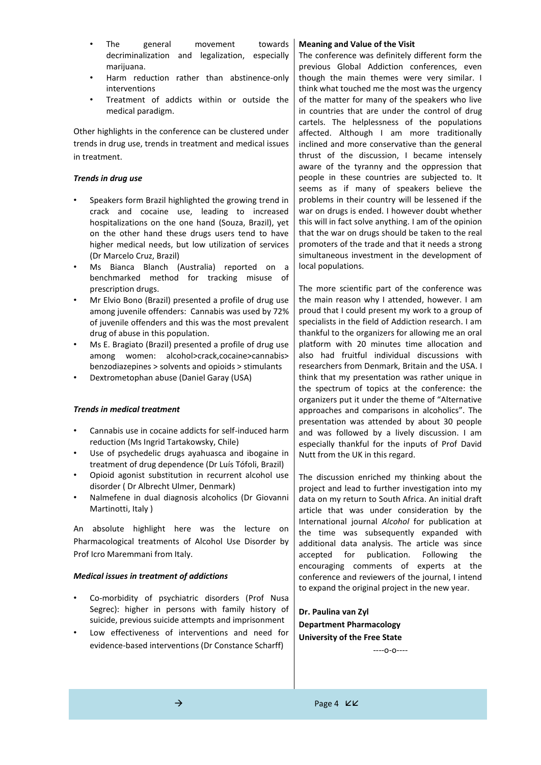- The general movement towards decriminalization and legalization, especially marijuana.
- Harm reduction rather than abstinence-only interventions
- Treatment of addicts within or outside the medical paradigm.

Other highlights in the conference can be clustered under trends in drug use, trends in treatment and medical issues in treatment.

### *Trends in drug use*

- Speakers form Brazil highlighted the growing trend in crack and cocaine use, leading to increased hospitalizations on the one hand (Souza, Brazil), yet on the other hand these drugs users tend to have higher medical needs, but low utilization of services (Dr Marcelo Cruz, Brazil)
- Ms Bianca Blanch (Australia) reported on a benchmarked method for tracking misuse of prescription drugs.
- Mr Elvio Bono (Brazil) presented a profile of drug use among juvenile offenders: Cannabis was used by 72% of juvenile offenders and this was the most prevalent drug of abuse in this population.
- Ms E. Bragiato (Brazil) presented a profile of drug use among women: alcohol>crack,cocaine>cannabis> benzodiazepines > solvents and opioids > stimulants
- Dextrometophan abuse (Daniel Garay (USA)

## *Trends in medical treatment*

- Cannabis use in cocaine addicts for self-induced harm reduction (Ms Ingrid Tartakowsky, Chile)
- Use of psychedelic drugs ayahuasca and ibogaine in treatment of drug dependence (Dr Luís Tófoli, Brazil)
- Opioid agonist substitution in recurrent alcohol use disorder ( Dr Albrecht Ulmer, Denmark)
- Nalmefene in dual diagnosis alcoholics (Dr Giovanni Martinotti, Italy )

An absolute highlight here was the lecture on Pharmacological treatments of Alcohol Use Disorder by Prof Icro Maremmani from Italy.

### *Medical issues in treatment of addictions*

- Co-morbidity of psychiatric disorders (Prof Nusa Segrec): higher in persons with family history of suicide, previous suicide attempts and imprisonment
- Low effectiveness of interventions and need for evidence-based interventions (Dr Constance Scharff)

### **Meaning and Value of the Visit**

The conference was definitely different form the previous Global Addiction conferences, even though the main themes were very similar. I think what touched me the most was the urgency of the matter for many of the speakers who live in countries that are under the control of drug cartels. The helplessness of the populations affected. Although I am more traditionally inclined and more conservative than the general thrust of the discussion, I became intensely aware of the tyranny and the oppression that people in these countries are subjected to. It seems as if many of speakers believe the problems in their country will be lessened if the war on drugs is ended. I however doubt whether this will in fact solve anything. I am of the opinion that the war on drugs should be taken to the real promoters of the trade and that it needs a strong simultaneous investment in the development of local populations.

The more scientific part of the conference was the main reason why I attended, however. I am proud that I could present my work to a group of specialists in the field of Addiction research. I am thankful to the organizers for allowing me an oral platform with 20 minutes time allocation and also had fruitful individual discussions with researchers from Denmark, Britain and the USA. I think that my presentation was rather unique in the spectrum of topics at the conference: the organizers put it under the theme of "Alternative approaches and comparisons in alcoholics". The presentation was attended by about 30 people and was followed by a lively discussion. I am especially thankful for the inputs of Prof David Nutt from the UK in this regard.

The discussion enriched my thinking about the project and lead to further investigation into my data on my return to South Africa. An initial draft article that was under consideration by the International journal *Alcohol* for publication at the time was subsequently expanded with additional data analysis. The article was since accepted for publication. Following the encouraging comments of experts at the conference and reviewers of the journal, I intend to expand the original project in the new year.

**Dr. Paulina van Zyl Department Pharmacology University of the Free State**

----o-o----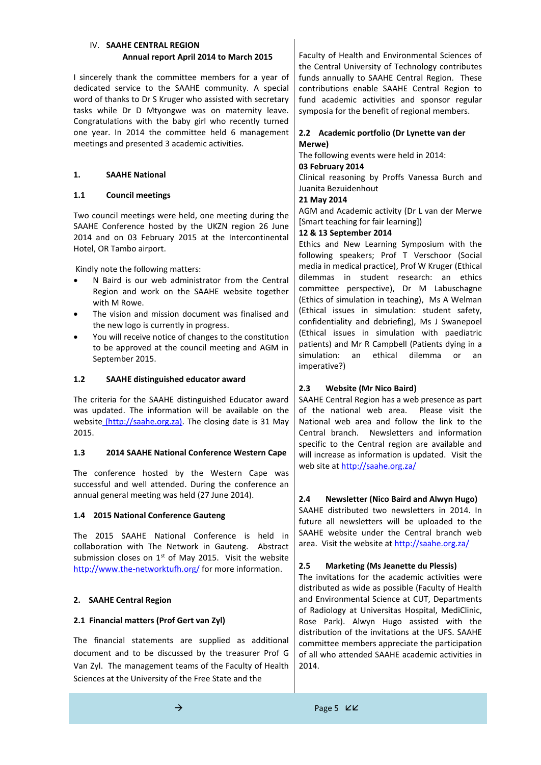## IV. **SAAHE CENTRAL REGION Annual report April 2014 to March 2015**

I sincerely thank the committee members for a year of dedicated service to the SAAHE community. A special word of thanks to Dr S Kruger who assisted with secretary tasks while Dr D Mtyongwe was on maternity leave. Congratulations with the baby girl who recently turned one year. In 2014 the committee held 6 management meetings and presented 3 academic activities.

## **1. SAAHE National**

# **1.1 Council meetings**

Two council meetings were held, one meeting during the SAAHE Conference hosted by the UKZN region 26 June 2014 and on 03 February 2015 at the Intercontinental Hotel, OR Tambo airport.

Kindly note the following matters:

- N Baird is our web administrator from the Central Region and work on the SAAHE website together with M Rowe.
- The vision and mission document was finalised and the new logo is currently in progress.
- You will receive notice of changes to the constitution to be approved at the council meeting and AGM in September 2015.

# **1.2 SAAHE distinguished educator award**

The criteria for the SAAHE distinguished Educator award was updated. The information will be available on the website [\(http://saahe.org.za\).](../../../../../hfried/AppData/Local/(http:/saahe.org.za)) The closing date is 31 May 2015.

## **1.3 2014 SAAHE National Conference Western Cape**

The conference hosted by the Western Cape was successful and well attended. During the conference an annual general meeting was held (27 June 2014).

# **1.4 2015 National Conference Gauteng**

The 2015 SAAHE National Conference is held in collaboration with The Network in Gauteng. Abstract submission closes on  $1<sup>st</sup>$  of May 2015. Visit the website <http://www.the-networktufh.org/> for more information.

# **2. SAAHE Central Region**

# **2.1 Financial matters (Prof Gert van Zyl)**

The financial statements are supplied as additional document and to be discussed by the treasurer Prof G Van Zyl. The management teams of the Faculty of Health Sciences at the University of the Free State and the

Faculty of Health and Environmental Sciences of the Central University of Technology contributes funds annually to SAAHE Central Region. These contributions enable SAAHE Central Region to fund academic activities and sponsor regular symposia for the benefit of regional members.

## **2.2 Academic portfolio (Dr Lynette van der Merwe)**

The following events were held in 2014:

# **03 February 2014**

Clinical reasoning by Proffs Vanessa Burch and Juanita Bezuidenhout

# **21 May 2014**

AGM and Academic activity (Dr L van der Merwe [Smart teaching for fair learning])

# **12 & 13 September 2014**

Ethics and New Learning Symposium with the following speakers; Prof T Verschoor (Social media in medical practice), Prof W Kruger (Ethical dilemmas in student research: an ethics committee perspective), Dr M Labuschagne (Ethics of simulation in teaching), Ms A Welman (Ethical issues in simulation: student safety, confidentiality and debriefing), Ms J Swanepoel (Ethical issues in simulation with paediatric patients) and Mr R Campbell (Patients dying in a simulation: an ethical dilemma or an imperative?)

# **2.3 Website (Mr Nico Baird)**

SAAHE Central Region has a web presence as part of the national web area. Please visit the National web area and follow the link to the Central branch. Newsletters and information specific to the Central region are available and will increase as information is updated. Visit the web site at<http://saahe.org.za/>

# **2.4 Newsletter (Nico Baird and Alwyn Hugo)**

SAAHE distributed two newsletters in 2014. In future all newsletters will be uploaded to the SAAHE website under the Central branch web area. Visit the website a[t http://saahe.org.za/](http://saahe.org.za/)

# **2.5 Marketing (Ms Jeanette du Plessis)**

The invitations for the academic activities were distributed as wide as possible (Faculty of Health and Environmental Science at CUT, Departments of Radiology at Universitas Hospital, MediClinic, Rose Park). Alwyn Hugo assisted with the distribution of the invitations at the UFS. SAAHE committee members appreciate the participation of all who attended SAAHE academic activities in 2014.